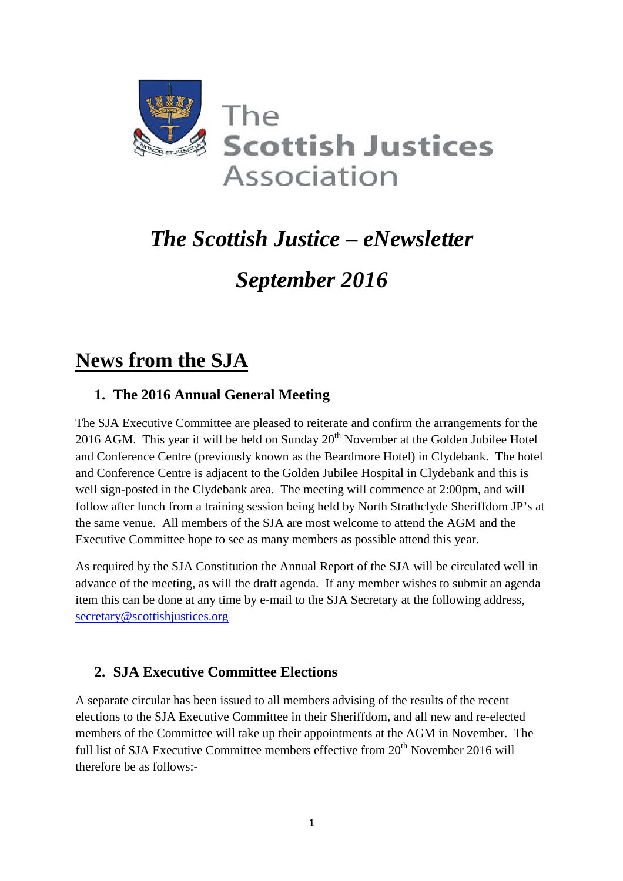

# *The Scottish Justice – eNewsletter*

# *September 2016*

# **News from the SJA**

## **1. The 2016 Annual General Meeting**

The SJA Executive Committee are pleased to reiterate and confirm the arrangements for the 2016 AGM. This year it will be held on Sunday  $20<sup>th</sup>$  November at the Golden Jubilee Hotel and Conference Centre (previously known as the Beardmore Hotel) in Clydebank. The hotel and Conference Centre is adjacent to the Golden Jubilee Hospital in Clydebank and this is well sign-posted in the Clydebank area. The meeting will commence at 2:00pm, and will follow after lunch from a training session being held by North Strathclyde Sheriffdom JP's at the same venue. All members of the SJA are most welcome to attend the AGM and the Executive Committee hope to see as many members as possible attend this year.

As required by the SJA Constitution the Annual Report of the SJA will be circulated well in advance of the meeting, as will the draft agenda. If any member wishes to submit an agenda item this can be done at any time by e-mail to the SJA Secretary at the following address, secretary@scottishjustices.org

## **2. SJA Executive Committee Elections**

A separate circular has been issued to all members advising of the results of the recent elections to the SJA Executive Committee in their Sheriffdom, and all new and re-elected members of the Committee will take up their appointments at the AGM in November. The full list of SJA Executive Committee members effective from 20<sup>th</sup> November 2016 will therefore be as follows:-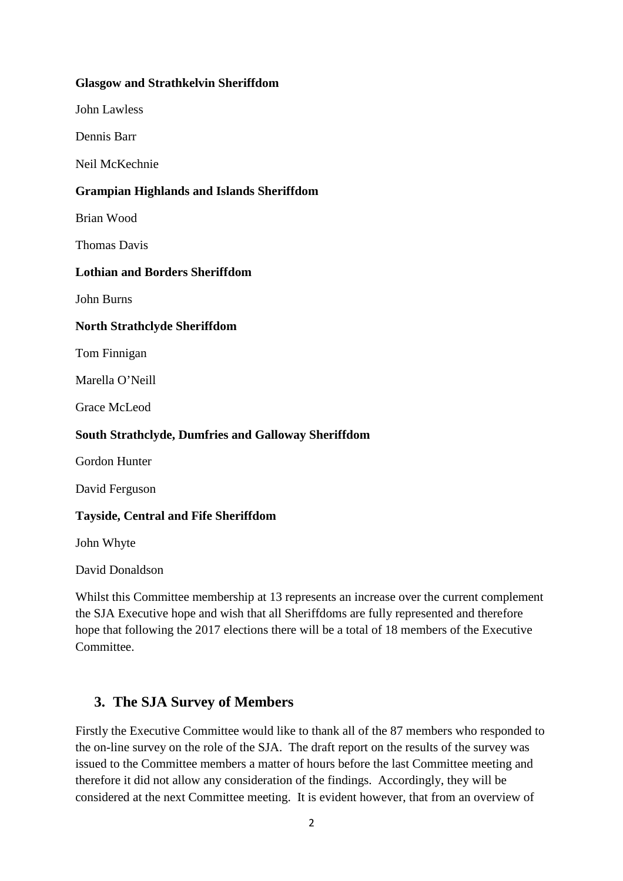#### **Glasgow and Strathkelvin Sheriffdom**

John Lawless

Dennis Barr

Neil McKechnie

#### **Grampian Highlands and Islands Sheriffdom**

Brian Wood

Thomas Davis

#### **Lothian and Borders Sheriffdom**

John Burns

#### **North Strathclyde Sheriffdom**

Tom Finnigan

Marella O'Neill

Grace McLeod

#### **South Strathclyde, Dumfries and Galloway Sheriffdom**

Gordon Hunter

David Ferguson

#### **Tayside, Central and Fife Sheriffdom**

John Whyte

David Donaldson

Whilst this Committee membership at 13 represents an increase over the current complement the SJA Executive hope and wish that all Sheriffdoms are fully represented and therefore hope that following the 2017 elections there will be a total of 18 members of the Executive Committee.

### **3. The SJA Survey of Members**

Firstly the Executive Committee would like to thank all of the 87 members who responded to the on-line survey on the role of the SJA. The draft report on the results of the survey was issued to the Committee members a matter of hours before the last Committee meeting and therefore it did not allow any consideration of the findings. Accordingly, they will be considered at the next Committee meeting. It is evident however, that from an overview of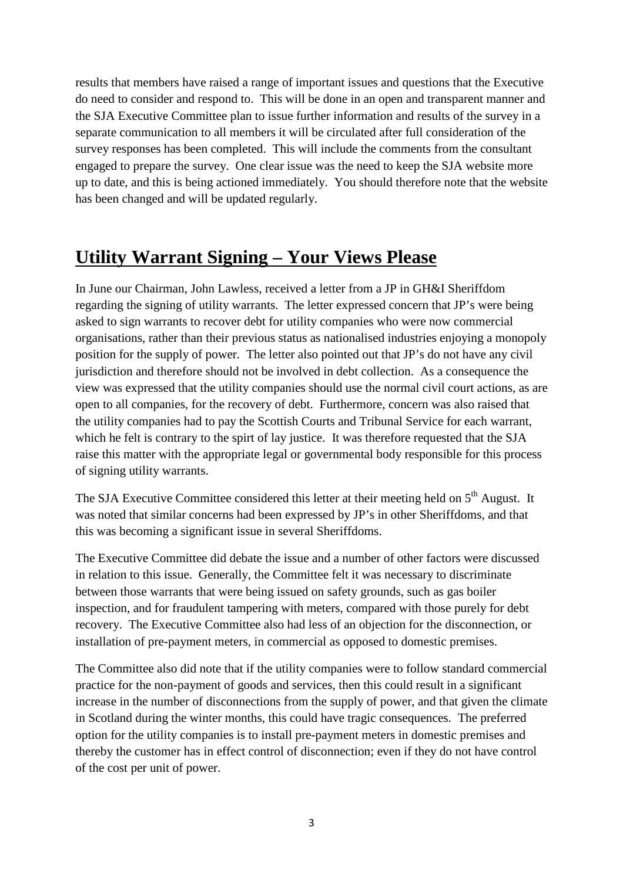results that members have raised a range of important issues and questions that the Executive do need to consider and respond to. This will be done in an open and transparent manner and the SJA Executive Committee plan to issue further information and results of the survey in a separate communication to all members it will be circulated after full consideration of the survey responses has been completed. This will include the comments from the consultant engaged to prepare the survey. One clear issue was the need to keep the SJA website more up to date, and this is being actioned immediately. You should therefore note that the website has been changed and will be updated regularly.

# **Utility Warrant Signing – Your Views Please**

In June our Chairman, John Lawless, received a letter from a JP in GH&I Sheriffdom regarding the signing of utility warrants. The letter expressed concern that JP's were being asked to sign warrants to recover debt for utility companies who were now commercial organisations, rather than their previous status as nationalised industries enjoying a monopoly position for the supply of power. The letter also pointed out that JP's do not have any civil jurisdiction and therefore should not be involved in debt collection. As a consequence the view was expressed that the utility companies should use the normal civil court actions, as are open to all companies, for the recovery of debt. Furthermore, concern was also raised that the utility companies had to pay the Scottish Courts and Tribunal Service for each warrant, which he felt is contrary to the spirt of lay justice. It was therefore requested that the SJA raise this matter with the appropriate legal or governmental body responsible for this process of signing utility warrants.

The SJA Executive Committee considered this letter at their meeting held on  $5<sup>th</sup>$  August. It was noted that similar concerns had been expressed by JP's in other Sheriffdoms, and that this was becoming a significant issue in several Sheriffdoms.

The Executive Committee did debate the issue and a number of other factors were discussed in relation to this issue. Generally, the Committee felt it was necessary to discriminate between those warrants that were being issued on safety grounds, such as gas boiler inspection, and for fraudulent tampering with meters, compared with those purely for debt recovery. The Executive Committee also had less of an objection for the disconnection, or installation of pre-payment meters, in commercial as opposed to domestic premises.

The Committee also did note that if the utility companies were to follow standard commercial practice for the non-payment of goods and services, then this could result in a significant increase in the number of disconnections from the supply of power, and that given the climate in Scotland during the winter months, this could have tragic consequences. The preferred option for the utility companies is to install pre-payment meters in domestic premises and thereby the customer has in effect control of disconnection; even if they do not have control of the cost per unit of power.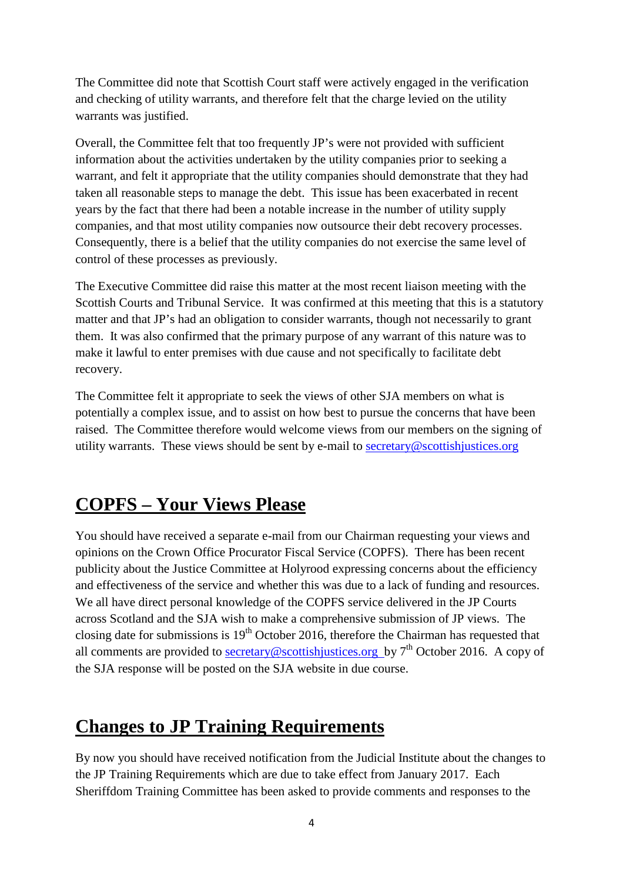The Committee did note that Scottish Court staff were actively engaged in the verification and checking of utility warrants, and therefore felt that the charge levied on the utility warrants was justified.

Overall, the Committee felt that too frequently JP's were not provided with sufficient information about the activities undertaken by the utility companies prior to seeking a warrant, and felt it appropriate that the utility companies should demonstrate that they had taken all reasonable steps to manage the debt. This issue has been exacerbated in recent years by the fact that there had been a notable increase in the number of utility supply companies, and that most utility companies now outsource their debt recovery processes. Consequently, there is a belief that the utility companies do not exercise the same level of control of these processes as previously.

The Executive Committee did raise this matter at the most recent liaison meeting with the Scottish Courts and Tribunal Service. It was confirmed at this meeting that this is a statutory matter and that JP's had an obligation to consider warrants, though not necessarily to grant them. It was also confirmed that the primary purpose of any warrant of this nature was to make it lawful to enter premises with due cause and not specifically to facilitate debt recovery.

The Committee felt it appropriate to seek the views of other SJA members on what is potentially a complex issue, and to assist on how best to pursue the concerns that have been raised. The Committee therefore would welcome views from our members on the signing of utility warrants. These views should be sent by e-mail to  $\frac{\text{secretary@} \text{scottish} \text{justices.org}}{\text{Sottish} \text{justices.org}}$ 

## **COPFS – Your Views Please**

You should have received a separate e-mail from our Chairman requesting your views and opinions on the Crown Office Procurator Fiscal Service (COPFS). There has been recent publicity about the Justice Committee at Holyrood expressing concerns about the efficiency and effectiveness of the service and whether this was due to a lack of funding and resources. We all have direct personal knowledge of the COPFS service delivered in the JP Courts across Scotland and the SJA wish to make a comprehensive submission of JP views. The closing date for submissions is  $19<sup>th</sup>$  October 2016, therefore the Chairman has requested that all comments are provided to secretary@scottishjustices.org by  $7<sup>th</sup>$  October 2016. A copy of the SJA response will be posted on the SJA website in due course.

## **Changes to JP Training Requirements**

By now you should have received notification from the Judicial Institute about the changes to the JP Training Requirements which are due to take effect from January 2017. Each Sheriffdom Training Committee has been asked to provide comments and responses to the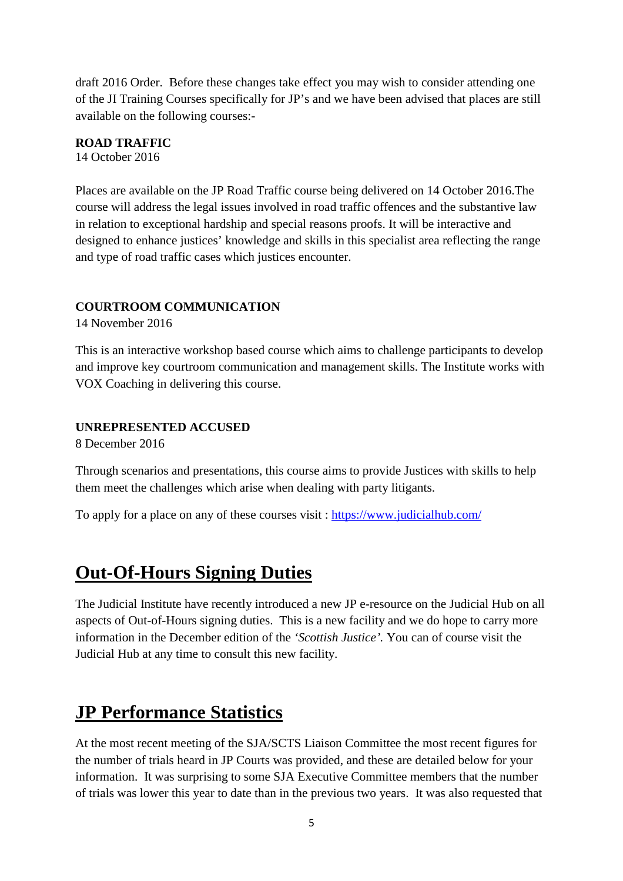draft 2016 Order. Before these changes take effect you may wish to consider attending one of the JI Training Courses specifically for JP's and we have been advised that places are still available on the following courses:-

## **ROAD TRAFFIC**

14 October 2016

Places are available on the JP Road Traffic course being delivered on 14 October 2016.The course will address the legal issues involved in road traffic offences and the substantive law in relation to exceptional hardship and special reasons proofs. It will be interactive and designed to enhance justices' knowledge and skills in this specialist area reflecting the range and type of road traffic cases which justices encounter.

#### **COURTROOM COMMUNICATION**

14 November 2016

This is an interactive workshop based course which aims to challenge participants to develop and improve key courtroom communication and management skills. The Institute works with VOX Coaching in delivering this course.

#### **UNREPRESENTED ACCUSED**

8 December 2016

Through scenarios and presentations, this course aims to provide Justices with skills to help them meet the challenges which arise when dealing with party litigants.

To apply for a place on any of these courses visit : https://www.judicialhub.com/

## **Out-Of-Hours Signing Duties**

The Judicial Institute have recently introduced a new JP e-resource on the Judicial Hub on all aspects of Out-of-Hours signing duties. This is a new facility and we do hope to carry more information in the December edition of the *'Scottish Justice'.* You can of course visit the Judicial Hub at any time to consult this new facility.

# **JP Performance Statistics**

At the most recent meeting of the SJA/SCTS Liaison Committee the most recent figures for the number of trials heard in JP Courts was provided, and these are detailed below for your information. It was surprising to some SJA Executive Committee members that the number of trials was lower this year to date than in the previous two years. It was also requested that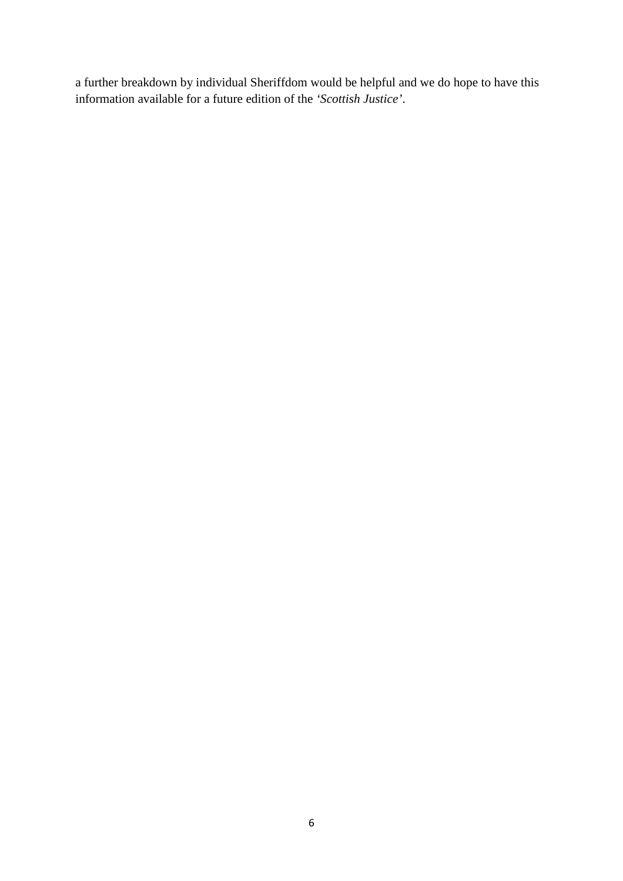a further breakdown by individual Sheriffdom would be helpful and we do hope to have this information available for a future edition of the *'Scottish Justice'*.